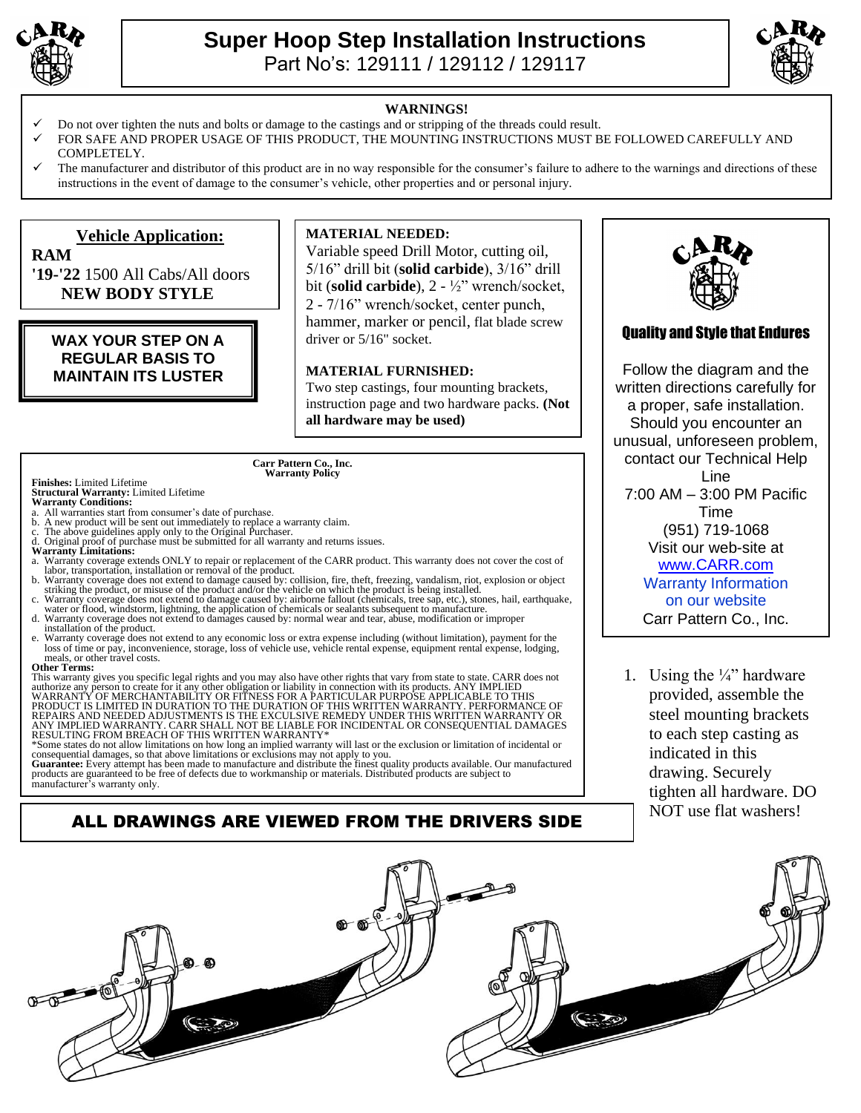

**RAM**



#### **WARNINGS!**

- Do not over tighten the nuts and bolts or damage to the castings and or stripping of the threads could result.
- FOR SAFE AND PROPER USAGE OF THIS PRODUCT, THE MOUNTING INSTRUCTIONS MUST BE FOLLOWED CAREFULLY AND COMPLETELY.
- The manufacturer and distributor of this product are in no way responsible for the consumer's failure to adhere to the warnings and directions of these instructions in the event of damage to the consumer's vehicle, other properties and or personal injury.

### **Vehicle Application:**

**'19-'22** 1500 All Cabs/All doors  **NEW BODY STYLE**

### **WAX YOUR STEP ON A REGULAR BASIS TO MAINTAIN ITS LUSTER**

### **MATERIAL NEEDED:**

Variable speed Drill Motor, cutting oil, 5/16" drill bit (**solid carbide**), 3/16" drill bit (**solid carbide**), 2 - ½" wrench/socket, 2 - 7/16" wrench/socket, center punch, hammer, marker or pencil, flat blade screw driver or 5/16" socket.

#### **MATERIAL FURNISHED:**

Two step castings, four mounting brackets, instruction page and two hardware packs. **(Not all hardware may be used)**

#### **Carr Pattern Co., Inc. Warranty Policy**

#### **Finishes:** Limited Lifetime **Structural Warranty:** Limited Lifetime **Warranty Conditions:**

- a. All warranties start from consumer's date of purchase.
- 
- 
- 
- b. A new product will be sent out immediately to replace a warranty claim.<br>c. The above guidelines apply only to the Original Purchaser.<br>d. Original proof of purchase must be submitted for all warranty and returns issues.<br> labor, transportation, installation or removal of the product.
- b. Warranty coverage does not extend to damage caused by: collision, fire, theft, freezing, vandalism, riot, explosion or object<br>striking the product, or misuse of the product and/or the vehicle on which the product is bei
- 
- installation of the product. e. Warranty coverage does not extend to any economic loss or extra expense including (without limitation), payment for the loss of time or pay, inconvenience, storage, loss of vehicle use, vehicle rental expense, equipment rental expense, lodging,

#### meals, or other travel costs. **Other Terms:**

This warranty gives you specific legal rights and you may also have other rights that vary from state to state. CARR does not<br>authorize any person to create for it any other obligation or liability in comection with its pr REPAIRS AND NEEDED ADJUSTMENTS IS THE EXCULSIVE REMEDY UNDER THIS WRITTEN WARRANTY OR ANY IMPLIED WARRANTY. CARR SHALL NOT BE LIABLE FOR INCIDENTAL OR CONSEQUENTIAL DAMAGES RESULTING FROM BREACH OF THIS WRITTEN WARRANTY\*

\*Some states do not allow limitations on how long an implied warranty will last or the exclusion or limitation of incidental or

consequential damages, so that above limitations or exclusions may not apply to you.<br>**Guarantee:** Every attempt has been made to manufacture and distribute the finest quality products available. Our manufactured<br>products a

ALL DRAWINGS ARE VIEWED FROM THE DRIVERS SIDE

## Quality and Style that Endures

Follow the diagram and the written directions carefully for a proper, safe installation. Should you encounter an unusual, unforeseen problem, contact our Technical Help Line 7:00 AM – 3:00 PM Pacific Time (951) 719-1068 Visit our web-site at [www.CARR.com](http://www.carr.com/) Warranty Information on our website Carr Pattern Co., Inc.

1. Using the  $\frac{1}{4}$ " hardware provided, assemble the steel mounting brackets to each step casting as indicated in this drawing. Securely tighten all hardware. DO NOT use flat washers!